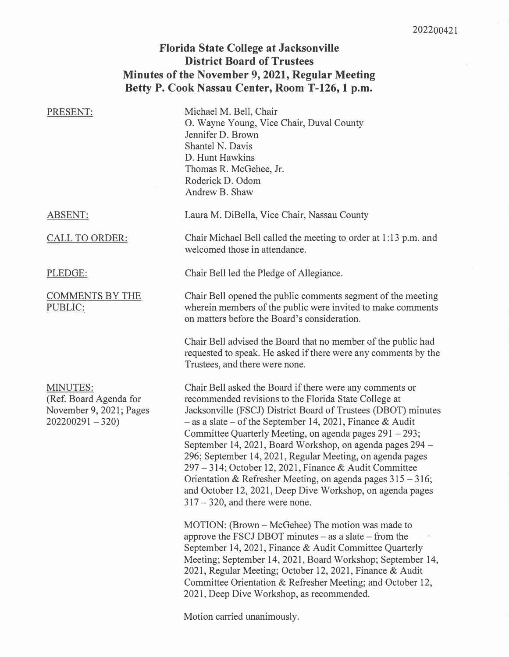### **Florida State College at Jacksonville District Board of Trustees Minutes of the November 9, 2021, Regular Meeting Betty P. Cook Nassau Center, Room T-126, 1 p.m.**

| PRESENT:                                                                                  | Michael M. Bell, Chair<br>O. Wayne Young, Vice Chair, Duval County<br>Jennifer D. Brown<br>Shantel N. Davis<br>D. Hunt Hawkins<br>Thomas R. McGehee, Jr.<br>Roderick D. Odom<br>Andrew B. Shaw                                                                                                                                                                                                                                                                                                                                                                                                                                                                                                                                                                                                                                                                                                                                                                                                                                             |
|-------------------------------------------------------------------------------------------|--------------------------------------------------------------------------------------------------------------------------------------------------------------------------------------------------------------------------------------------------------------------------------------------------------------------------------------------------------------------------------------------------------------------------------------------------------------------------------------------------------------------------------------------------------------------------------------------------------------------------------------------------------------------------------------------------------------------------------------------------------------------------------------------------------------------------------------------------------------------------------------------------------------------------------------------------------------------------------------------------------------------------------------------|
| <b>ABSENT:</b>                                                                            | Laura M. DiBella, Vice Chair, Nassau County                                                                                                                                                                                                                                                                                                                                                                                                                                                                                                                                                                                                                                                                                                                                                                                                                                                                                                                                                                                                |
| <b>CALL TO ORDER:</b>                                                                     | Chair Michael Bell called the meeting to order at 1:13 p.m. and<br>welcomed those in attendance.                                                                                                                                                                                                                                                                                                                                                                                                                                                                                                                                                                                                                                                                                                                                                                                                                                                                                                                                           |
| PLEDGE:                                                                                   | Chair Bell led the Pledge of Allegiance.                                                                                                                                                                                                                                                                                                                                                                                                                                                                                                                                                                                                                                                                                                                                                                                                                                                                                                                                                                                                   |
| <b>COMMENTS BY THE</b><br>PUBLIC:                                                         | Chair Bell opened the public comments segment of the meeting<br>wherein members of the public were invited to make comments<br>on matters before the Board's consideration.                                                                                                                                                                                                                                                                                                                                                                                                                                                                                                                                                                                                                                                                                                                                                                                                                                                                |
|                                                                                           | Chair Bell advised the Board that no member of the public had<br>requested to speak. He asked if there were any comments by the<br>Trustees, and there were none.                                                                                                                                                                                                                                                                                                                                                                                                                                                                                                                                                                                                                                                                                                                                                                                                                                                                          |
| <b>MINUTES:</b><br>(Ref. Board Agenda for<br>November 9, 2021; Pages<br>$202200291 - 320$ | Chair Bell asked the Board if there were any comments or<br>recommended revisions to the Florida State College at<br>Jacksonville (FSCJ) District Board of Trustees (DBOT) minutes<br>$-$ as a slate $-$ of the September 14, 2021, Finance & Audit<br>Committee Quarterly Meeting, on agenda pages $291 - 293$ ;<br>September 14, 2021, Board Workshop, on agenda pages 294 –<br>296; September 14, 2021, Regular Meeting, on agenda pages<br>297 – 314; October 12, 2021, Finance & Audit Committee<br>Orientation & Refresher Meeting, on agenda pages $315 - 316$ ;<br>and October 12, 2021, Deep Dive Workshop, on agenda pages<br>$317 - 320$ , and there were none.<br>MOTION: (Brown – McGehee) The motion was made to<br>approve the FSCJ DBOT minutes - as a slate - from the<br>September 14, 2021, Finance & Audit Committee Quarterly<br>Meeting; September 14, 2021, Board Workshop; September 14,<br>2021, Regular Meeting; October 12, 2021, Finance & Audit<br>Committee Orientation & Refresher Meeting; and October 12, |

Motion carried unanimously.

2021, Deep Dive Workshop, as recommended.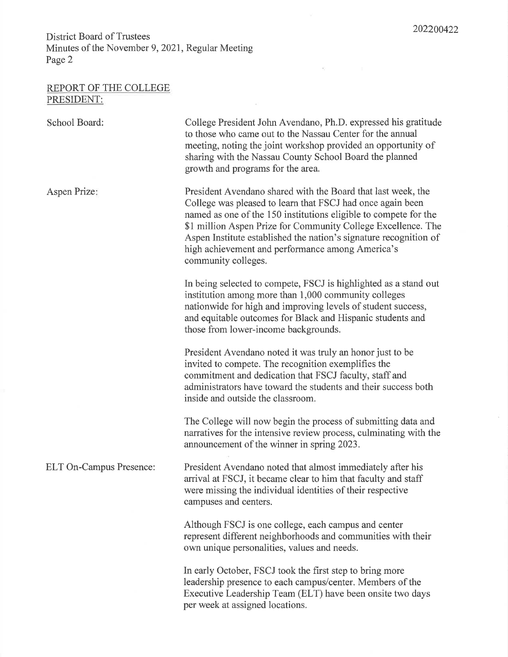### REPORT OF THE COLLEGE PRESIDENT:

| School Board:           | College President John Avendano, Ph.D. expressed his gratitude<br>to those who came out to the Nassau Center for the annual<br>meeting, noting the joint workshop provided an opportunity of<br>sharing with the Nassau County School Board the planned<br>growth and programs for the area.                                                                                                                    |
|-------------------------|-----------------------------------------------------------------------------------------------------------------------------------------------------------------------------------------------------------------------------------------------------------------------------------------------------------------------------------------------------------------------------------------------------------------|
| Aspen Prize:            | President Avendano shared with the Board that last week, the<br>College was pleased to learn that FSCJ had once again been<br>named as one of the 150 institutions eligible to compete for the<br>\$1 million Aspen Prize for Community College Excellence. The<br>Aspen Institute established the nation's signature recognition of<br>high achievement and performance among America's<br>community colleges. |
|                         | In being selected to compete, FSCJ is highlighted as a stand out<br>institution among more than 1,000 community colleges<br>nationwide for high and improving levels of student success,<br>and equitable outcomes for Black and Hispanic students and<br>those from lower-income backgrounds.                                                                                                                  |
|                         | President Avendano noted it was truly an honor just to be<br>invited to compete. The recognition exemplifies the<br>commitment and dedication that FSCJ faculty, staff and<br>administrators have toward the students and their success both<br>inside and outside the classroom.                                                                                                                               |
|                         | The College will now begin the process of submitting data and<br>narratives for the intensive review process, culminating with the<br>announcement of the winner in spring 2023.                                                                                                                                                                                                                                |
| ELT On-Campus Presence: | President Avendano noted that almost immediately after his<br>arrival at FSCJ, it became clear to him that faculty and staff<br>were missing the individual identities of their respective<br>campuses and centers.                                                                                                                                                                                             |
|                         | Although FSCJ is one college, each campus and center<br>represent different neighborhoods and communities with their<br>own unique personalities, values and needs.                                                                                                                                                                                                                                             |
|                         | In early October, FSCJ took the first step to bring more<br>leadership presence to each campus/center. Members of the<br>Executive Leadership Team (ELT) have been onsite two days<br>per week at assigned locations.                                                                                                                                                                                           |

 $\hat{\alpha}$  :

 $\vec{b}$ 

 $\tilde{\mathcal{Q}}$  .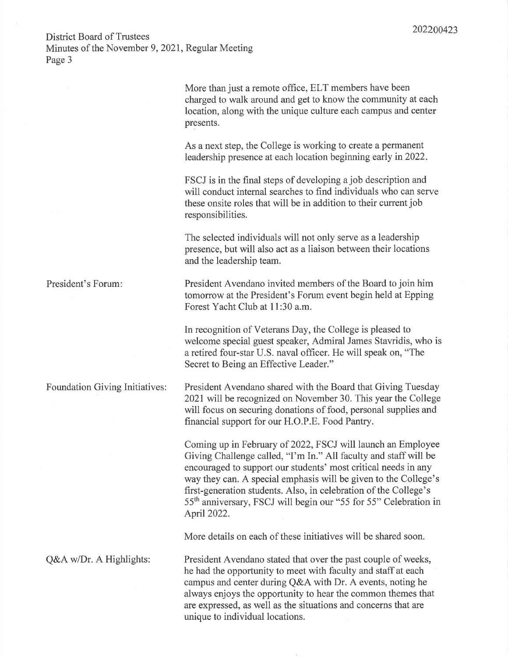More than just a remote office, ELT members have been charged to walk around and get to know the community at each location, along with the unique culture each campus and center presents.

As a next step, the College is working to create a permanent leadership presence at each location beginning early in 2022.

FSCJ is in the final steps of developing a job description and will conduct internal searches to find individuals who can serve these onsite roles that will be in addition to their current job responsibilities.

The selected individuals will not only serve as a leadership presence, but will also act as a liaison between their locations and the leadership team.

President Avendano invited members of the Board to join him tomorrow at the President's Forum event begin held at Epping Forest Yacht Club at 11:30 a.m.

In recognition of Veterans Day, the College is pleased to welcome special guest speaker, Admiral James Stavridis, who is a retired four-star U.S. naval officer. He will speak on, "The Secret to Being an Effective Leader."

President Avendano shared with the Board that Giving Tuesday 2021 will be recognized on November 30. This year the College will focus on securing donations of food, personal supplies and financial support for our H.O.P.E. Food Pantry.

Coming up in February of 2022, FSCJ will launch an Employee Giving Challenge called, "I'm In." All faculty and staff will be encouraged to support our students' most critical needs in any way they can. A special emphasis will be given to the College's first-generation students. Also, in celebration of the College's 55<sup>th</sup> anniversary, FSCJ will begin our "55 for 55" Celebration in April 2022.

More details on each of these initiatives will be shared soon.

President Avendano stated that over the past couple of weeks, he had the opportunity to meet with faculty and staff at each campus and center during Q&A with Dr. A events, noting he always enjoys the opportunity to hear the common themes that are expressed, as well as the situations and concerns that are unique to individual locations.

President's Forum:

**Foundation Giving Initiatives:** 

Q&A w/Dr. A Highlights: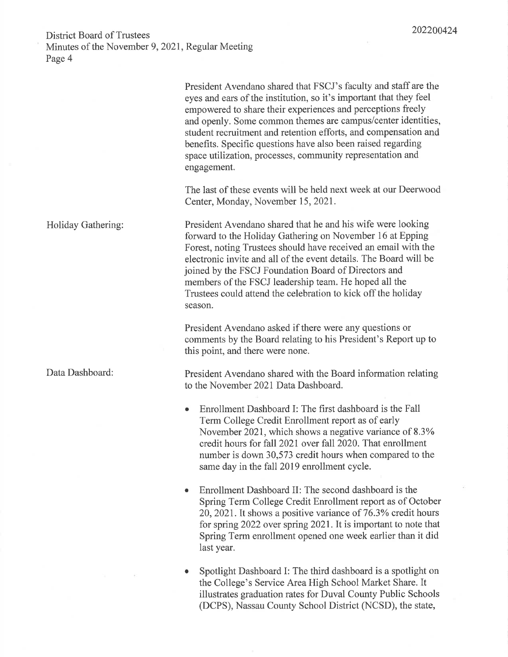|                    | President Avendano shared that FSCJ's faculty and staff are the<br>eyes and ears of the institution, so it's important that they feel<br>empowered to share their experiences and perceptions freely<br>and openly. Some common themes are campus/center identities,<br>student recruitment and retention efforts, and compensation and<br>benefits. Specific questions have also been raised regarding<br>space utilization, processes, community representation and<br>engagement. |
|--------------------|--------------------------------------------------------------------------------------------------------------------------------------------------------------------------------------------------------------------------------------------------------------------------------------------------------------------------------------------------------------------------------------------------------------------------------------------------------------------------------------|
|                    | The last of these events will be held next week at our Deerwood<br>Center, Monday, November 15, 2021.                                                                                                                                                                                                                                                                                                                                                                                |
| Holiday Gathering: | President Avendano shared that he and his wife were looking<br>forward to the Holiday Gathering on November 16 at Epping<br>Forest, noting Trustees should have received an email with the<br>electronic invite and all of the event details. The Board will be<br>joined by the FSCJ Foundation Board of Directors and<br>members of the FSCJ leadership team. He hoped all the<br>Trustees could attend the celebration to kick off the holiday<br>season.                         |
|                    | President Avendano asked if there were any questions or<br>comments by the Board relating to his President's Report up to<br>this point, and there were none.                                                                                                                                                                                                                                                                                                                        |
| Data Dashboard:    | President Avendano shared with the Board information relating<br>to the November 2021 Data Dashboard.                                                                                                                                                                                                                                                                                                                                                                                |
|                    | Enrollment Dashboard I: The first dashboard is the Fall<br>٠<br>Term College Credit Enrollment report as of early<br>November 2021, which shows a negative variance of 8.3%<br>credit hours for fall 2021 over fall 2020. That enrollment<br>number is down 30,573 credit hours when compared to the<br>same day in the fall 2019 enrollment cycle.                                                                                                                                  |
|                    | Enrollment Dashboard II: The second dashboard is the<br>٠<br>Spring Term College Credit Enrollment report as of October<br>20, 2021. It shows a positive variance of 76.3% credit hours<br>for spring 2022 over spring 2021. It is important to note that<br>Spring Term enrollment opened one week earlier than it did<br>last year.                                                                                                                                                |
|                    | Spotlight Dashboard I: The third dashboard is a spotlight on<br>the College's Service Area High School Market Share. It                                                                                                                                                                                                                                                                                                                                                              |

illustrates graduation rates for Duval County Public Schools (DCPS), Nassau County School District (NCSD), the state,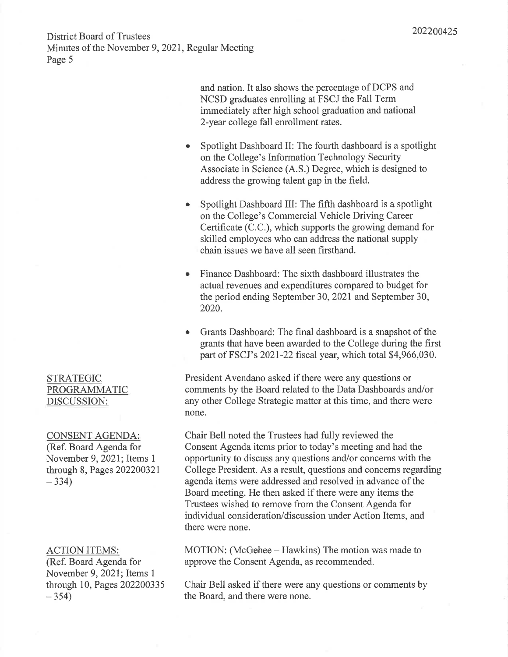and nation. It also shows the percentage of DCPS and NCSD graduates enrolling at FSCJ the Fall Term immediately after high school graduation and national 2-year college fall enrollment rates.

- Spotlight Dashboard II: The fourth dashboard is a spotlight  $\bullet$ on the College's Information Technology Security Associate in Science (A.S.) Degree, which is designed to address the growing talent gap in the field.
- Spotlight Dashboard III: The fifth dashboard is a spotlight on the College's Commercial Vehicle Driving Career Certificate (C.C.), which supports the growing demand for skilled employees who can address the national supply chain issues we have all seen firsthand.
- Finance Dashboard: The sixth dashboard illustrates the actual revenues and expenditures compared to budget for the period ending September 30, 2021 and September 30, 2020.
- Grants Dashboard: The final dashboard is a snapshot of the grants that have been awarded to the College during the first part of FSCJ's 2021-22 fiscal year, which total \$4,966,030.

President Avendano asked if there were any questions or comments by the Board related to the Data Dashboards and/or any other College Strategic matter at this time, and there were none.

Chair Bell noted the Trustees had fully reviewed the Consent Agenda items prior to today's meeting and had the opportunity to discuss any questions and/or concerns with the College President. As a result, questions and concerns regarding agenda items were addressed and resolved in advance of the Board meeting. He then asked if there were any items the Trustees wished to remove from the Consent Agenda for individual consideration/discussion under Action Items, and there were none.

MOTION: (McGehee – Hawkins) The motion was made to approve the Consent Agenda, as recommended.

Chair Bell asked if there were any questions or comments by the Board, and there were none.

### **STRATEGIC** PROGRAMMATIC DISCUSSION:

**CONSENT AGENDA:** (Ref. Board Agenda for November 9, 2021; Items 1 through 8, Pages 202200321  $-334$ 

#### **ACTION ITEMS:**

(Ref. Board Agenda for November 9, 2021; Items 1 through 10, Pages 202200335  $-354$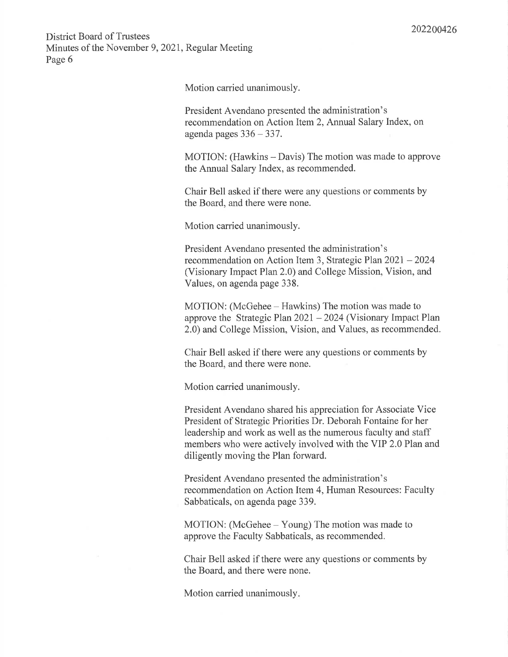Motion carried unanimously.

President Avendano presented the administration's recommendation on Action Item 2, Annual Salary Index, on agenda pages  $336 - 337$ .

MOTION: (Hawkins – Davis) The motion was made to approve the Annual Salary Index, as recommended.

Chair Bell asked if there were any questions or comments by the Board, and there were none.

Motion carried unanimously.

President Avendano presented the administration's recommendation on Action Item 3, Strategic Plan 2021 – 2024 (Visionary Impact Plan 2.0) and College Mission, Vision, and Values, on agenda page 338.

MOTION: (McGehee – Hawkins) The motion was made to approve the Strategic Plan  $2021 - 2024$  (Visionary Impact Plan 2.0) and College Mission, Vision, and Values, as recommended.

Chair Bell asked if there were any questions or comments by the Board, and there were none.

Motion carried unanimously.

President Avendano shared his appreciation for Associate Vice President of Strategic Priorities Dr. Deborah Fontaine for her leadership and work as well as the numerous faculty and staff members who were actively involved with the VIP 2.0 Plan and diligently moving the Plan forward.

President Avendano presented the administration's recommendation on Action Item 4, Human Resources: Faculty Sabbaticals, on agenda page 339.

MOTION: (McGehee – Young) The motion was made to approve the Faculty Sabbaticals, as recommended.

Chair Bell asked if there were any questions or comments by the Board, and there were none.

Motion carried unanimously.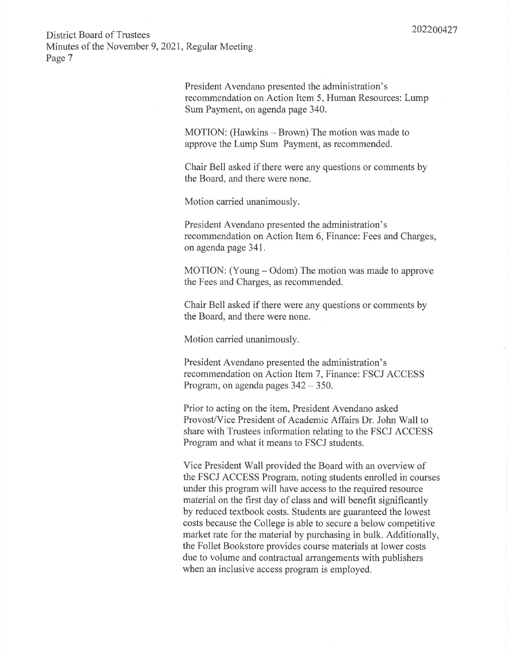> President Avendano presented the administration's recommendation on Action Item 5, Human Resources: Lump Sum Payment, on agenda page 340.

MOTION: (Hawkins – Brown) The motion was made to approve the Lump Sum Payment, as recommended.

Chair Bell asked if there were any questions or comments by the Board, and there were none.

Motion carried unanimously.

President Avendano presented the administration's recommendation on Action Item 6, Finance: Fees and Charges, on agenda page 341.

MOTION: (Young – Odom) The motion was made to approve the Fees and Charges, as recommended.

Chair Bell asked if there were any questions or comments by the Board, and there were none.

Motion carried unanimously.

President Avendano presented the administration's recommendation on Action Item 7, Finance: FSCJ ACCESS Program, on agenda pages  $342 - 350$ .

Prior to acting on the item, President Avendano asked Provost/Vice President of Academic Affairs Dr. John Wall to share with Trustees information relating to the FSCJ ACCESS Program and what it means to FSCJ students.

Vice President Wall provided the Board with an overview of the FSCJ ACCESS Program, noting students enrolled in courses under this program will have access to the required resource material on the first day of class and will benefit significantly by reduced textbook costs. Students are guaranteed the lowest costs because the College is able to secure a below competitive market rate for the material by purchasing in bulk. Additionally, the Follet Bookstore provides course materials at lower costs due to volume and contractual arrangements with publishers when an inclusive access program is employed.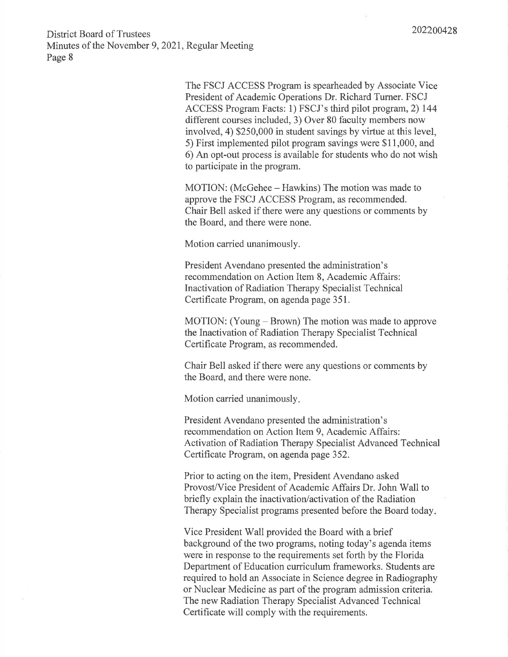The FSCJ ACCESS Program is spearheaded by Associate Vice President of Academic Operations Dr. Richard Turner. FSCJ ACCESS Program Facts: 1) FSCJ's third pilot program, 2) 144 different courses included, 3) Over 80 faculty members now involved, 4) \$250,000 in student savings by virtue at this level, 5) First implemented pilot program savings were \$11,000, and 6) An opt-out process is available for students who do not wish to participate in the program.

MOTION: (McGehee – Hawkins) The motion was made to approve the FSCJ ACCESS Program, as recommended. Chair Bell asked if there were any questions or comments by the Board, and there were none.

Motion carried unanimously.

President Avendano presented the administration's recommendation on Action Item 8, Academic Affairs: Inactivation of Radiation Therapy Specialist Technical Certificate Program, on agenda page 351.

MOTION: (Young – Brown) The motion was made to approve the Inactivation of Radiation Therapy Specialist Technical Certificate Program, as recommended.

Chair Bell asked if there were any questions or comments by the Board, and there were none.

Motion carried unanimously.

President Avendano presented the administration's recommendation on Action Item 9, Academic Affairs: Activation of Radiation Therapy Specialist Advanced Technical Certificate Program, on agenda page 352.

Prior to acting on the item, President Avendano asked Provost/Vice President of Academic Affairs Dr. John Wall to briefly explain the inactivation/activation of the Radiation Therapy Specialist programs presented before the Board today.

Vice President Wall provided the Board with a brief background of the two programs, noting today's agenda items were in response to the requirements set forth by the Florida Department of Education curriculum frameworks. Students are required to hold an Associate in Science degree in Radiography or Nuclear Medicine as part of the program admission criteria. The new Radiation Therapy Specialist Advanced Technical Certificate will comply with the requirements.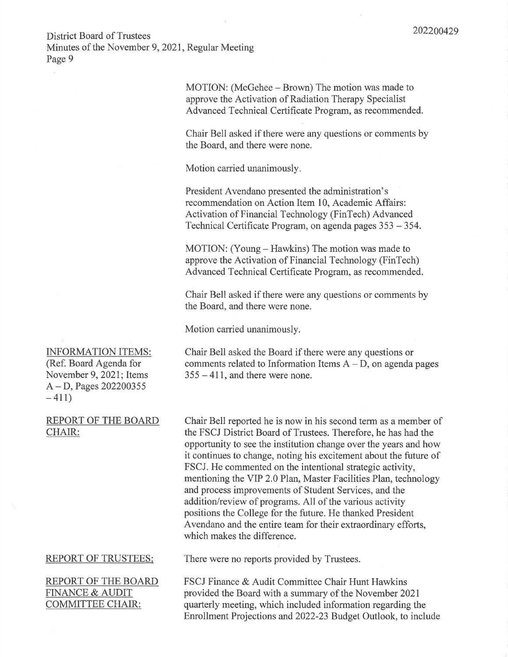**District Board of Trustees** 

Minutes of the November 9, 2021, Regular Meeting Page 9

> MOTION: (McGehee – Brown) The motion was made to approve the Activation of Radiation Therapy Specialist Advanced Technical Certificate Program, as recommended.

Chair Bell asked if there were any questions or comments by the Board, and there were none.

Motion carried unanimously.

President Avendano presented the administration's recommendation on Action Item 10, Academic Affairs: Activation of Financial Technology (FinTech) Advanced Technical Certificate Program, on agenda pages 353 – 354.

MOTION: (Young – Hawkins) The motion was made to approve the Activation of Financial Technology (FinTech) Advanced Technical Certificate Program, as recommended.

Chair Bell asked if there were any questions or comments by the Board, and there were none.

Motion carried unanimously.

Chair Bell asked the Board if there were any questions or comments related to Information Items  $A - D$ , on agenda pages  $355 - 411$ , and there were none.

Chair Bell reported he is now in his second term as a member of the FSCJ District Board of Trustees. Therefore, he has had the opportunity to see the institution change over the years and how it continues to change, noting his excitement about the future of FSCJ. He commented on the intentional strategic activity, mentioning the VIP 2.0 Plan, Master Facilities Plan, technology and process improvements of Student Services, and the addition/review of programs. All of the various activity positions the College for the future. He thanked President Avendano and the entire team for their extraordinary efforts, which makes the difference.

### **REPORT OF TRUSTEES:**

REPORT OF THE BOARD **FINANCE & AUDIT COMMITTEE CHAIR:** 

There were no reports provided by Trustees.

FSCJ Finance & Audit Committee Chair Hunt Hawkins provided the Board with a summary of the November 2021 quarterly meeting, which included information regarding the Enrollment Projections and 2022-23 Budget Outlook, to include

**INFORMATION ITEMS:** (Ref. Board Agenda for November 9, 2021; Items  $A - D$ , Pages 202200355  $-411)$ 

#### REPORT OF THE BOARD CHAIR: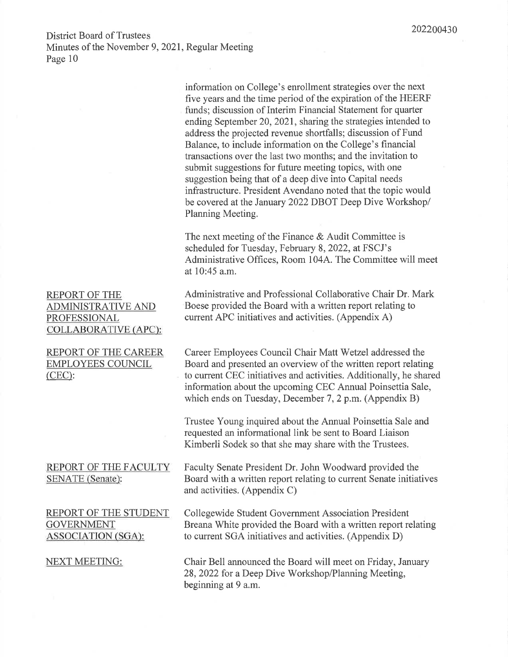**REPORT OF THE ADMINISTRATIVE AND** PROFESSIONAL COLLABORATIVE (APC):

**REPORT OF THE CAREER EMPLOYEES COUNCIL**  $(CEC)$ :

### REPORT OF THE FACULTY SENATE (Senate):

REPORT OF THE STUDENT **GOVERNMENT ASSOCIATION (SGA):** 

**NEXT MEETING:** 

information on College's enrollment strategies over the next five years and the time period of the expiration of the HEERF funds; discussion of Interim Financial Statement for quarter ending September 20, 2021, sharing the strategies intended to address the projected revenue shortfalls; discussion of Fund Balance, to include information on the College's financial transactions over the last two months; and the invitation to submit suggestions for future meeting topics, with one suggestion being that of a deep dive into Capital needs infrastructure. President Avendano noted that the topic would be covered at the January 2022 DBOT Deep Dive Workshop/ Planning Meeting.

The next meeting of the Finance  $&$  Audit Committee is scheduled for Tuesday, February 8, 2022, at FSCJ's Administrative Offices, Room 104A. The Committee will meet at 10:45 a.m.

Administrative and Professional Collaborative Chair Dr. Mark Boese provided the Board with a written report relating to current APC initiatives and activities. (Appendix A)

Career Employees Council Chair Matt Wetzel addressed the Board and presented an overview of the written report relating to current CEC initiatives and activities. Additionally, he shared information about the upcoming CEC Annual Poinsettia Sale, which ends on Tuesday, December 7, 2 p.m. (Appendix B)

Trustee Young inquired about the Annual Poinsettia Sale and requested an informational link be sent to Board Liaison Kimberli Sodek so that she may share with the Trustees.

Faculty Senate President Dr. John Woodward provided the Board with a written report relating to current Senate initiatives and activities. (Appendix C)

Collegewide Student Government Association President Breana White provided the Board with a written report relating to current SGA initiatives and activities. (Appendix D)

Chair Bell announced the Board will meet on Friday, January 28, 2022 for a Deep Dive Workshop/Planning Meeting, beginning at 9 a.m.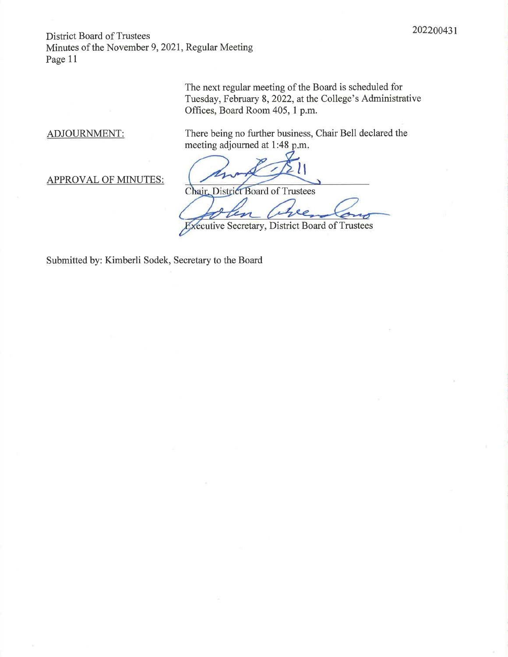> The next regular meeting of the Board is scheduled for Tuesday, February 8, 2022, at the College's Administrative Offices, Board Room 405, 1 p.m.

ADJOURNMENT:

There being no further business, Chair Bell declared the meeting adjourned at 1:48 p.m.

**APPROVAL OF MINUTES:** 

Chair, District Board of Trustees

Executive Secretary, District Board of Trustees

Submitted by: Kimberli Sodek, Secretary to the Board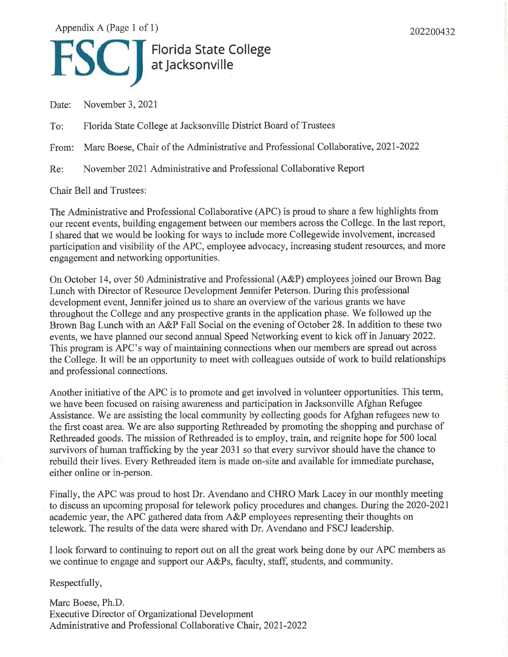Appendix A (Page 1 of 1)

202200432

# El Florida State College

November 3, 2021 Date:

Florida State College at Jacksonville District Board of Trustees To:

From: Marc Boese, Chair of the Administrative and Professional Collaborative, 2021-2022

November 2021 Administrative and Professional Collaborative Report Re:

**Chair Bell and Trustees:** 

The Administrative and Professional Collaborative (APC) is proud to share a few highlights from our recent events, building engagement between our members across the College. In the last report, I shared that we would be looking for ways to include more Collegewide involvement, increased participation and visibility of the APC, employee advocacy, increasing student resources, and more engagement and networking opportunities.

On October 14, over 50 Administrative and Professional (A&P) employees joined our Brown Bag Lunch with Director of Resource Development Jennifer Peterson. During this professional development event, Jennifer joined us to share an overview of the various grants we have throughout the College and any prospective grants in the application phase. We followed up the Brown Bag Lunch with an A&P Fall Social on the evening of October 28. In addition to these two events, we have planned our second annual Speed Networking event to kick off in January 2022. This program is APC's way of maintaining connections when our members are spread out across the College. It will be an opportunity to meet with colleagues outside of work to build relationships and professional connections.

Another initiative of the APC is to promote and get involved in volunteer opportunities. This term, we have been focused on raising awareness and participation in Jacksonville Afghan Refugee Assistance. We are assisting the local community by collecting goods for Afghan refugees new to the first coast area. We are also supporting Rethreaded by promoting the shopping and purchase of Rethreaded goods. The mission of Rethreaded is to employ, train, and reignite hope for 500 local survivors of human trafficking by the year 2031 so that every survivor should have the chance to rebuild their lives. Every Rethreaded item is made on-site and available for immediate purchase, either online or in-person.

Finally, the APC was proud to host Dr. Avendano and CHRO Mark Lacey in our monthly meeting to discuss an upcoming proposal for telework policy procedures and changes. During the 2020-2021 academic year, the APC gathered data from A&P employees representing their thoughts on telework. The results of the data were shared with Dr. Avendano and FSCJ leadership.

I look forward to continuing to report out on all the great work being done by our APC members as we continue to engage and support our A&Ps, faculty, staff, students, and community.

Respectfully,

Marc Boese, Ph.D. **Executive Director of Organizational Development** Administrative and Professional Collaborative Chair, 2021-2022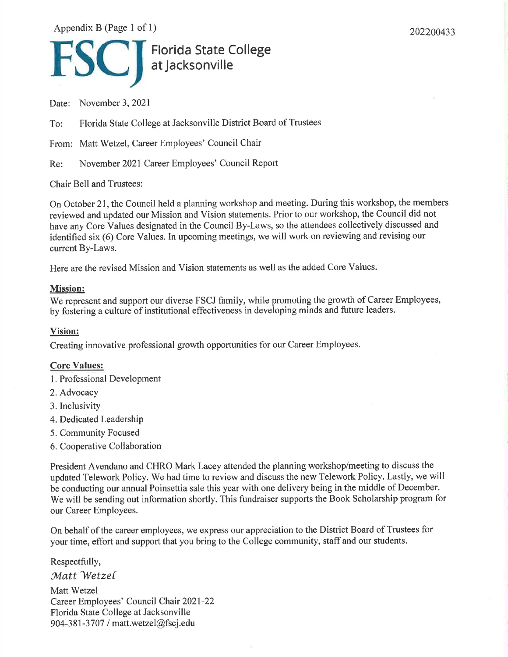Appendix B (Page 1 of 1)

202200433

# Florida State College

Date: November 3, 2021

Florida State College at Jacksonville District Board of Trustees To:

From: Matt Wetzel, Career Employees' Council Chair

November 2021 Career Employees' Council Report Re:

**Chair Bell and Trustees:** 

On October 21, the Council held a planning workshop and meeting. During this workshop, the members reviewed and updated our Mission and Vision statements. Prior to our workshop, the Council did not have any Core Values designated in the Council By-Laws, so the attendees collectively discussed and identified six (6) Core Values. In upcoming meetings, we will work on reviewing and revising our current By-Laws.

Here are the revised Mission and Vision statements as well as the added Core Values.

### **Mission:**

We represent and support our diverse FSCJ family, while promoting the growth of Career Employees, by fostering a culture of institutional effectiveness in developing minds and future leaders.

### Vision:

Creating innovative professional growth opportunities for our Career Employees.

### **Core Values:**

- 1. Professional Development
- 2. Advocacy
- 3. Inclusivity
- 4. Dedicated Leadership
- 5. Community Focused
- 6. Cooperative Collaboration

President Avendano and CHRO Mark Lacey attended the planning workshop/meeting to discuss the updated Telework Policy. We had time to review and discuss the new Telework Policy. Lastly, we will be conducting our annual Poinsettia sale this year with one delivery being in the middle of December. We will be sending out information shortly. This fundraiser supports the Book Scholarship program for our Career Employees.

On behalf of the career employees, we express our appreciation to the District Board of Trustees for your time, effort and support that you bring to the College community, staff and our students.

Respectfully,

Matt Wetzel

Matt Wetzel Career Employees' Council Chair 2021-22 Florida State College at Jacksonville 904-381-3707 / matt.wetzel@fscj.edu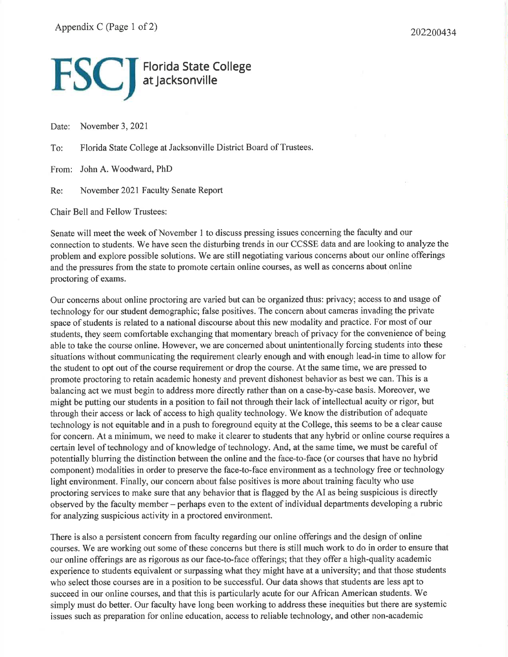# **FSC** Florida State College

November 3, 2021 Date:

Florida State College at Jacksonville District Board of Trustees. To:

From: John A. Woodward, PhD

Re: November 2021 Faculty Senate Report

**Chair Bell and Fellow Trustees:** 

Senate will meet the week of November 1 to discuss pressing issues concerning the faculty and our connection to students. We have seen the disturbing trends in our CCSSE data and are looking to analyze the problem and explore possible solutions. We are still negotiating various concerns about our online offerings and the pressures from the state to promote certain online courses, as well as concerns about online proctoring of exams.

Our concerns about online proctoring are varied but can be organized thus: privacy; access to and usage of technology for our student demographic; false positives. The concern about cameras invading the private space of students is related to a national discourse about this new modality and practice. For most of our students, they seem comfortable exchanging that momentary breach of privacy for the convenience of being able to take the course online. However, we are concerned about unintentionally forcing students into these situations without communicating the requirement clearly enough and with enough lead-in time to allow for the student to opt out of the course requirement or drop the course. At the same time, we are pressed to promote proctoring to retain academic honesty and prevent dishonest behavior as best we can. This is a balancing act we must begin to address more directly rather than on a case-by-case basis. Moreover, we might be putting our students in a position to fail not through their lack of intellectual acuity or rigor, but through their access or lack of access to high quality technology. We know the distribution of adequate technology is not equitable and in a push to foreground equity at the College, this seems to be a clear cause for concern. At a minimum, we need to make it clearer to students that any hybrid or online course requires a certain level of technology and of knowledge of technology. And, at the same time, we must be careful of potentially blurring the distinction between the online and the face-to-face (or courses that have no hybrid component) modalities in order to preserve the face-to-face environment as a technology free or technology light environment. Finally, our concern about false positives is more about training faculty who use proctoring services to make sure that any behavior that is flagged by the AI as being suspicious is directly observed by the faculty member – perhaps even to the extent of individual departments developing a rubric for analyzing suspicious activity in a proctored environment.

There is also a persistent concern from faculty regarding our online offerings and the design of online courses. We are working out some of these concerns but there is still much work to do in order to ensure that our online offerings are as rigorous as our face-to-face offerings; that they offer a high-quality academic experience to students equivalent or surpassing what they might have at a university; and that those students who select those courses are in a position to be successful. Our data shows that students are less apt to succeed in our online courses, and that this is particularly acute for our African American students. We simply must do better. Our faculty have long been working to address these inequities but there are systemic issues such as preparation for online education, access to reliable technology, and other non-academic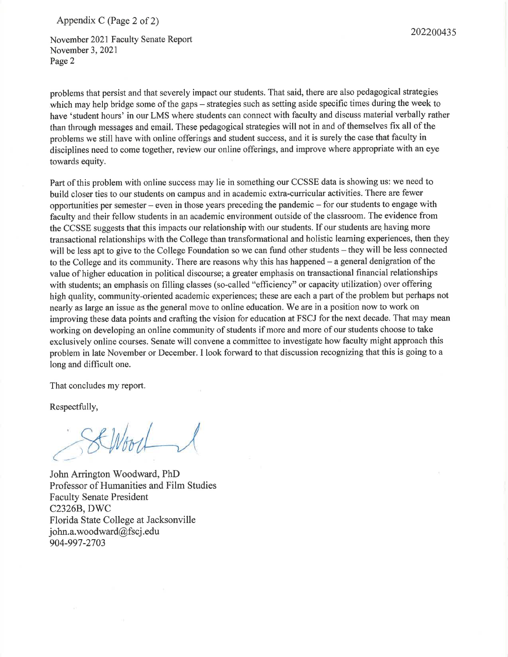Appendix C (Page 2 of 2)

November 2021 Faculty Senate Report November 3, 2021 Page 2

problems that persist and that severely impact our students. That said, there are also pedagogical strategies which may help bridge some of the gaps – strategies such as setting aside specific times during the week to have 'student hours' in our LMS where students can connect with faculty and discuss material verbally rather than through messages and email. These pedagogical strategies will not in and of themselves fix all of the problems we still have with online offerings and student success, and it is surely the case that faculty in disciplines need to come together, review our online offerings, and improve where appropriate with an eve towards equity.

Part of this problem with online success may lie in something our CCSSE data is showing us: we need to build closer ties to our students on campus and in academic extra-curricular activities. There are fewer opportunities per semester – even in those years preceding the pandemic – for our students to engage with faculty and their fellow students in an academic environment outside of the classroom. The evidence from the CCSSE suggests that this impacts our relationship with our students. If our students are having more transactional relationships with the College than transformational and holistic learning experiences, then they will be less apt to give to the College Foundation so we can fund other students – they will be less connected to the College and its community. There are reasons why this has happened  $-$  a general denigration of the value of higher education in political discourse; a greater emphasis on transactional financial relationships with students; an emphasis on filling classes (so-called "efficiency" or capacity utilization) over offering high quality, community-oriented academic experiences; these are each a part of the problem but perhaps not nearly as large an issue as the general move to online education. We are in a position now to work on improving these data points and crafting the vision for education at FSCJ for the next decade. That may mean working on developing an online community of students if more and more of our students choose to take exclusively online courses. Senate will convene a committee to investigate how faculty might approach this problem in late November or December. I look forward to that discussion recognizing that this is going to a long and difficult one.

That concludes my report.

Respectfully,

SCWood

John Arrington Woodward, PhD Professor of Humanities and Film Studies **Faculty Senate President C2326B, DWC** Florida State College at Jacksonville john.a.woodward@fscj.edu 904-997-2703